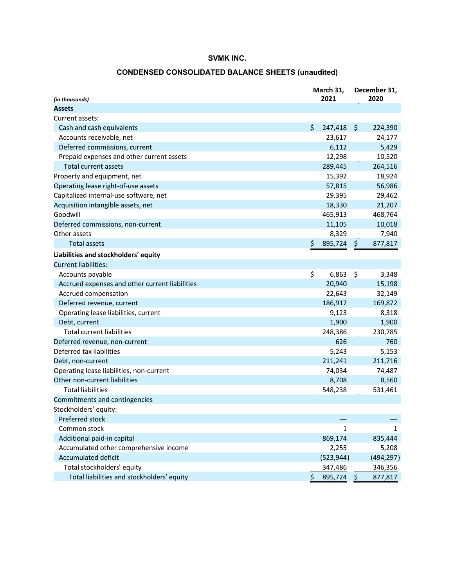# **CONDENSED CONSOLIDATED BALANCE SHEETS (unaudited)**

| (in thousands)                                 | March 31,<br>2021 |            |         | December 31,<br>2020 |  |
|------------------------------------------------|-------------------|------------|---------|----------------------|--|
| <b>Assets</b>                                  |                   |            |         |                      |  |
| Current assets:                                |                   |            |         |                      |  |
| Cash and cash equivalents                      | \$                | 247,418    | $\zeta$ | 224,390              |  |
| Accounts receivable, net                       |                   | 23,617     |         | 24,177               |  |
| Deferred commissions, current                  |                   | 6,112      |         | 5,429                |  |
| Prepaid expenses and other current assets      |                   | 12,298     |         | 10,520               |  |
| <b>Total current assets</b>                    |                   | 289,445    |         | 264,516              |  |
| Property and equipment, net                    |                   | 15,392     |         | 18,924               |  |
| Operating lease right-of-use assets            |                   | 57,815     |         | 56,986               |  |
| Capitalized internal-use software, net         |                   | 29,395     |         | 29,462               |  |
| Acquisition intangible assets, net             |                   | 18,330     |         | 21,207               |  |
| Goodwill                                       |                   | 465,913    |         | 468,764              |  |
| Deferred commissions, non-current              |                   | 11,105     |         | 10,018               |  |
| Other assets                                   |                   | 8,329      |         | 7,940                |  |
| <b>Total assets</b>                            | \$                | 895,724    | \$      | 877,817              |  |
| Liabilities and stockholders' equity           |                   |            |         |                      |  |
| <b>Current liabilities:</b>                    |                   |            |         |                      |  |
| Accounts payable                               | \$                | 6,863      | \$      | 3,348                |  |
| Accrued expenses and other current liabilities |                   | 20,940     |         | 15,198               |  |
| Accrued compensation                           |                   | 22,643     |         | 32,149               |  |
| Deferred revenue, current                      |                   | 186,917    |         | 169,872              |  |
| Operating lease liabilities, current           |                   | 9,123      |         | 8,318                |  |
| Debt, current                                  |                   | 1,900      |         | 1,900                |  |
| <b>Total current liabilities</b>               |                   | 248,386    |         | 230,785              |  |
| Deferred revenue, non-current                  |                   | 626        |         | 760                  |  |
| Deferred tax liabilities                       |                   | 5,243      |         | 5,153                |  |
| Debt, non-current                              |                   | 211,241    |         | 211,716              |  |
| Operating lease liabilities, non-current       |                   | 74,034     |         | 74,487               |  |
| Other non-current liabilities                  |                   | 8,708      |         | 8,560                |  |
| <b>Total liabilities</b>                       |                   | 548,238    |         | 531,461              |  |
| Commitments and contingencies                  |                   |            |         |                      |  |
| Stockholders' equity:                          |                   |            |         |                      |  |
| Preferred stock                                |                   |            |         |                      |  |
| Common stock                                   |                   | 1          |         | 1                    |  |
| Additional paid-in capital                     |                   | 869,174    |         | 835,444              |  |
| Accumulated other comprehensive income         |                   | 2,255      |         | 5,208                |  |
| <b>Accumulated deficit</b>                     |                   | (523, 944) |         | (494, 297)           |  |
| Total stockholders' equity                     |                   | 347,486    |         | 346,356              |  |
| Total liabilities and stockholders' equity     | \$                | 895,724    | \$      | 877,817              |  |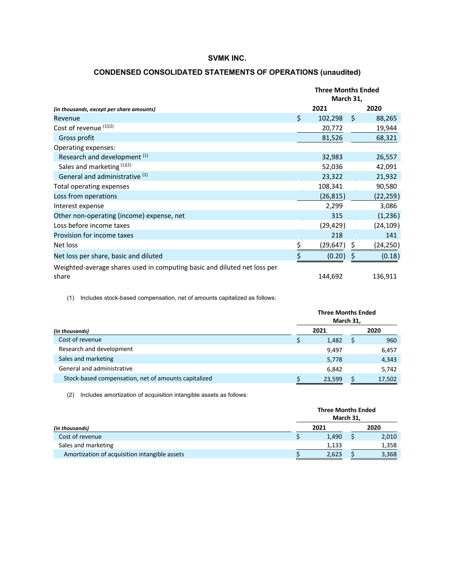|                                                                                   | <b>Three Months Ended</b><br>March 31, |           |    |           |  |
|-----------------------------------------------------------------------------------|----------------------------------------|-----------|----|-----------|--|
| (in thousands, except per share amounts)                                          |                                        | 2021      |    | 2020      |  |
| Revenue                                                                           | \$                                     | 102,298   | \$ | 88,265    |  |
| Cost of revenue (1)(2)                                                            |                                        | 20,772    |    | 19,944    |  |
| Gross profit                                                                      |                                        | 81,526    |    | 68,321    |  |
| Operating expenses:                                                               |                                        |           |    |           |  |
| Research and development (1)                                                      |                                        | 32,983    |    | 26,557    |  |
| Sales and marketing $(1)(2)$                                                      |                                        | 52,036    |    | 42,091    |  |
| General and administrative (1)                                                    |                                        | 23,322    |    | 21,932    |  |
| Total operating expenses                                                          |                                        | 108,341   |    | 90,580    |  |
| Loss from operations                                                              |                                        | (26, 815) |    | (22, 259) |  |
| Interest expense                                                                  |                                        | 2,299     |    | 3,086     |  |
| Other non-operating (income) expense, net                                         |                                        | 315       |    | (1, 236)  |  |
| Loss before income taxes                                                          |                                        | (29, 429) |    | (24,109)  |  |
| Provision for income taxes                                                        |                                        | 218       |    | 141       |  |
| Net loss                                                                          |                                        | (29,647)  | Ş  | (24,250)  |  |
| Net loss per share, basic and diluted                                             |                                        | (0.20)    | S  | (0.18)    |  |
| Weighted-average shares used in computing basic and diluted net loss per<br>share |                                        | 144,692   |    | 136,911   |  |

# **CONDENSED CONSOLIDATED STATEMENTS OF OPERATIONS (unaudited)**

(1) Includes stock-based compensation, net of amounts capitalized as follows:

|                                                      | <b>Three Months Ended</b><br>March 31, |  |        |  |  |
|------------------------------------------------------|----------------------------------------|--|--------|--|--|
| (in thousands)                                       | 2021                                   |  | 2020   |  |  |
| Cost of revenue                                      | 1,482                                  |  | 960    |  |  |
| Research and development                             | 9,497                                  |  | 6,457  |  |  |
| Sales and marketing                                  | 5,778                                  |  | 4,343  |  |  |
| General and administrative                           | 6,842                                  |  | 5,742  |  |  |
| Stock-based compensation, net of amounts capitalized | 23,599                                 |  | 17,502 |  |  |

(2) Includes amortization of acquisition intangible assets as follows:

|                                               | <b>Three Months Ended</b><br>March 31, |  |       |  |  |
|-----------------------------------------------|----------------------------------------|--|-------|--|--|
| (in thousands)                                | 2021                                   |  | 2020  |  |  |
| Cost of revenue                               | 1,490                                  |  | 2,010 |  |  |
| Sales and marketing                           | 1,133                                  |  | 1,358 |  |  |
| Amortization of acquisition intangible assets | 2,623                                  |  | 3,368 |  |  |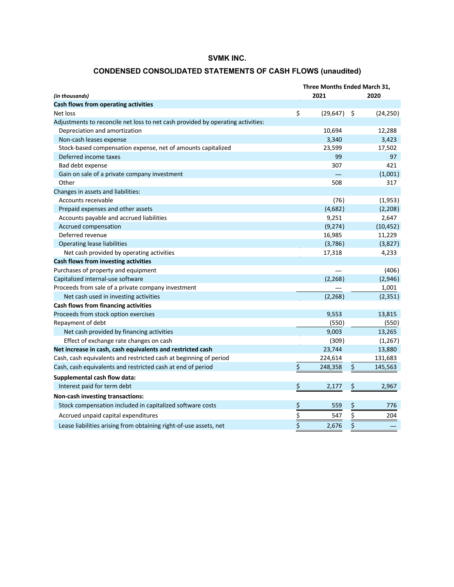|                                                                                 | Three Months Ended March 31, |           |           |           |
|---------------------------------------------------------------------------------|------------------------------|-----------|-----------|-----------|
| (in thousands)                                                                  |                              | 2021      |           | 2020      |
| Cash flows from operating activities                                            |                              |           |           |           |
| Net loss                                                                        | \$                           | (29, 647) | Ŝ.        | (24, 250) |
| Adjustments to reconcile net loss to net cash provided by operating activities: |                              |           |           |           |
| Depreciation and amortization                                                   |                              | 10,694    |           | 12,288    |
| Non-cash leases expense                                                         |                              | 3,340     |           | 3,423     |
| Stock-based compensation expense, net of amounts capitalized                    |                              | 23,599    |           | 17,502    |
| Deferred income taxes                                                           |                              | 99        |           | 97        |
| Bad debt expense                                                                |                              | 307       |           | 421       |
| Gain on sale of a private company investment                                    |                              |           |           | (1,001)   |
| Other                                                                           |                              | 508       |           | 317       |
| Changes in assets and liabilities:                                              |                              |           |           |           |
| Accounts receivable                                                             |                              | (76)      |           | (1,953)   |
| Prepaid expenses and other assets                                               |                              | (4,682)   |           | (2,208)   |
| Accounts payable and accrued liabilities                                        |                              | 9,251     |           | 2,647     |
| Accrued compensation                                                            |                              | (9, 274)  |           | (10, 452) |
| Deferred revenue                                                                |                              | 16,985    |           | 11,229    |
| <b>Operating lease liabilities</b>                                              |                              | (3,786)   |           | (3,827)   |
| Net cash provided by operating activities                                       |                              | 17,318    |           | 4,233     |
| Cash flows from investing activities                                            |                              |           |           |           |
| Purchases of property and equipment                                             |                              |           |           | (406)     |
| Capitalized internal-use software                                               |                              | (2, 268)  |           | (2,946)   |
| Proceeds from sale of a private company investment                              |                              |           |           | 1,001     |
| Net cash used in investing activities                                           |                              | (2, 268)  |           | (2, 351)  |
| Cash flows from financing activities                                            |                              |           |           |           |
| Proceeds from stock option exercises                                            |                              | 9,553     |           | 13,815    |
| Repayment of debt                                                               |                              | (550)     |           | (550)     |
| Net cash provided by financing activities                                       |                              | 9,003     |           | 13,265    |
| Effect of exchange rate changes on cash                                         |                              | (309)     |           | (1, 267)  |
| Net increase in cash, cash equivalents and restricted cash                      |                              | 23,744    |           | 13,880    |
| Cash, cash equivalents and restricted cash at beginning of period               |                              | 224,614   |           | 131,683   |
| Cash, cash equivalents and restricted cash at end of period                     | \$                           | 248,358   | \$        | 145,563   |
| Supplemental cash flow data:                                                    |                              |           |           |           |
| Interest paid for term debt                                                     | \$                           | 2,177     | \$        | 2,967     |
| <b>Non-cash investing transactions:</b>                                         |                              |           |           |           |
| Stock compensation included in capitalized software costs                       | \$                           | 559       | <u>\$</u> | 776       |
| Accrued unpaid capital expenditures                                             |                              | 547       | \$        | 204       |
|                                                                                 | $\frac{1}{2}$                |           |           |           |
| Lease liabilities arising from obtaining right-of-use assets, net               | \$                           | 2,676     | \$        |           |

# **CONDENSED CONSOLIDATED STATEMENTS OF CASH FLOWS (unaudited)**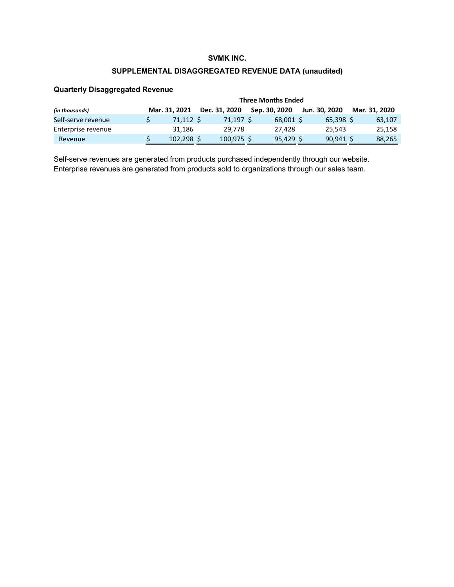# **SUPPLEMENTAL DISAGGREGATED REVENUE DATA (unaudited)**

|                    | <b>Three Months Ended</b> |               |  |               |               |               |  |  |
|--------------------|---------------------------|---------------|--|---------------|---------------|---------------|--|--|
| (in thousands)     | Mar. 31, 2021             | Dec. 31, 2020 |  | Sep. 30, 2020 | Jun. 30, 2020 | Mar. 31, 2020 |  |  |
| Self-serve revenue | 71.112 S                  | 71.197 S      |  | 68,001 \$     | 65.398 \$     | 63,107        |  |  |
| Enterprise revenue | 31.186                    | 29.778        |  | 27.428        | 25.543        | 25,158        |  |  |
| Revenue            | $102,298$ \$              | $100,975$ \$  |  | 95.429S       | 90,941        | 88,265        |  |  |

### **Quarterly Disaggregated Revenue**

Self-serve revenues are generated from products purchased independently through our website. Enterprise revenues are generated from products sold to organizations through our sales team.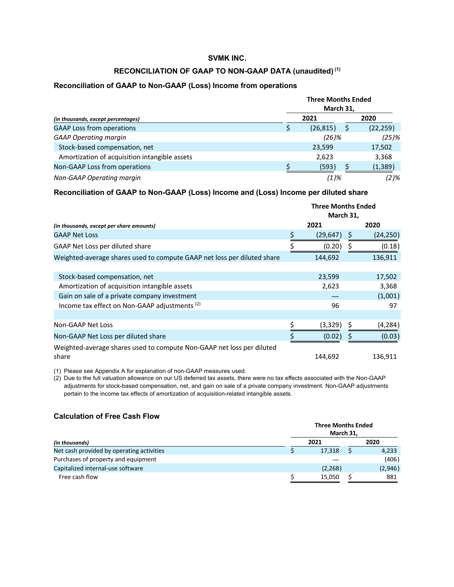### **RECONCILIATION OF GAAP TO NON-GAAP DATA (unaudited) (1)**

### **Reconciliation of GAAP to Non-GAAP (Loss) Income from operations**

|                                               | <b>Three Months Ended</b><br>March 31, |  |           |  |  |  |
|-----------------------------------------------|----------------------------------------|--|-----------|--|--|--|
| (in thousands, except percentages)            | 2021                                   |  | 2020      |  |  |  |
| <b>GAAP Loss from operations</b>              | (26, 815)                              |  | (22, 259) |  |  |  |
| <b>GAAP Operating margin</b>                  | (26)%                                  |  | $(25)$ %  |  |  |  |
| Stock-based compensation, net                 | 23,599                                 |  | 17,502    |  |  |  |
| Amortization of acquisition intangible assets | 2,623                                  |  | 3,368     |  |  |  |
| Non-GAAP Loss from operations                 | (593)                                  |  | (1, 389)  |  |  |  |
| Non-GAAP Operating margin                     | $(1)\%$                                |  | (2)%      |  |  |  |

#### **Reconciliation of GAAP to Non-GAAP (Loss) Income and (Loss) Income per diluted share**

|                                                                                | <b>Three Months Ended</b><br>March 31, |           |     |           |
|--------------------------------------------------------------------------------|----------------------------------------|-----------|-----|-----------|
| (in thousands, except per share amounts)                                       |                                        | 2021      |     | 2020      |
| <b>GAAP Net Loss</b>                                                           |                                        | (29, 647) | \$. | (24, 250) |
| GAAP Net Loss per diluted share                                                |                                        | (0.20)    |     | (0.18)    |
| Weighted-average shares used to compute GAAP net loss per diluted share        |                                        | 144,692   |     | 136,911   |
|                                                                                |                                        |           |     |           |
| Stock-based compensation, net                                                  |                                        | 23,599    |     | 17,502    |
| Amortization of acquisition intangible assets                                  |                                        | 2,623     |     | 3,368     |
| Gain on sale of a private company investment                                   |                                        |           |     | (1,001)   |
| Income tax effect on Non-GAAP adjustments <sup>(2)</sup>                       |                                        | 96        |     | 97        |
|                                                                                |                                        |           |     |           |
| Non-GAAP Net Loss                                                              |                                        | (3,329)   |     | (4, 284)  |
| Non-GAAP Net Loss per diluted share                                            |                                        | (0.02)    |     | (0.03)    |
| Weighted-average shares used to compute Non-GAAP net loss per diluted<br>share |                                        | 144,692   |     | 136,911   |

(1) Please see Appendix A for explanation of non-GAAP measures used.

(2) Due to the full valuation allowance on our US deferred tax assets, there were no tax effects associated with the Non-GAAP adjustments for stock-based compensation, net, and gain on sale of a private company investment. Non-GAAP adjustments pertain to the income tax effects of amortization of acquisition-related intangible assets.

### **Calculation of Free Cash Flow**

|                                           | <b>Three Months Ended</b> | March 31, |         |  |
|-------------------------------------------|---------------------------|-----------|---------|--|
| (in thousands)                            | 2021                      |           | 2020    |  |
| Net cash provided by operating activities | 17,318                    |           | 4,233   |  |
| Purchases of property and equipment       | (406)                     |           |         |  |
| Capitalized internal-use software         | (2, 268)                  |           | (2,946) |  |
| Free cash flow                            | 15,050                    |           | 881     |  |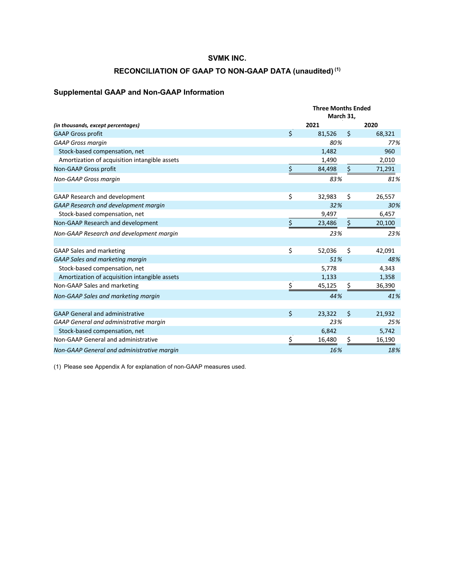# **RECONCILIATION OF GAAP TO NON-GAAP DATA (unaudited) (1)**

# **Supplemental GAAP and Non-GAAP Information**

|                                               | <b>Three Months Ended</b><br>March 31, |    |        |  |  |
|-----------------------------------------------|----------------------------------------|----|--------|--|--|
| (in thousands, except percentages)            | 2021                                   |    | 2020   |  |  |
| <b>GAAP Gross profit</b>                      | \$<br>81,526                           | \$ | 68,321 |  |  |
| <b>GAAP Gross margin</b>                      | 80%                                    |    | 77%    |  |  |
| Stock-based compensation, net                 | 1,482                                  |    | 960    |  |  |
| Amortization of acquisition intangible assets | 1,490                                  |    | 2,010  |  |  |
| Non-GAAP Gross profit                         | \$<br>84,498                           | \$ | 71,291 |  |  |
| <b>Non-GAAP Gross margin</b>                  | 83%                                    |    | 81%    |  |  |
| <b>GAAP Research and development</b>          | \$<br>32,983                           | \$ | 26,557 |  |  |
| GAAP Research and development margin          | 32%                                    |    | 30%    |  |  |
| Stock-based compensation, net                 | 9,497                                  |    | 6,457  |  |  |
| Non-GAAP Research and development             | \$<br>23,486                           | \$ | 20,100 |  |  |
| Non-GAAP Research and development margin      | 23%                                    |    | 23%    |  |  |
| <b>GAAP Sales and marketing</b>               | \$<br>52,036                           | \$ | 42,091 |  |  |
| <b>GAAP Sales and marketing margin</b>        | 51%                                    |    | 48%    |  |  |
| Stock-based compensation, net                 | 5,778                                  |    | 4,343  |  |  |
| Amortization of acquisition intangible assets | 1,133                                  |    | 1,358  |  |  |
| Non-GAAP Sales and marketing                  | \$<br>45,125                           | \$ | 36,390 |  |  |
| Non-GAAP Sales and marketing margin           | 44%                                    |    | 41%    |  |  |
| <b>GAAP General and administrative</b>        | \$<br>23,322                           | \$ | 21,932 |  |  |
| <b>GAAP General and administrative margin</b> | 23%                                    |    | 25%    |  |  |
| Stock-based compensation, net                 | 6,842                                  |    | 5,742  |  |  |
| Non-GAAP General and administrative           | \$<br>16,480                           | \$ | 16,190 |  |  |
| Non-GAAP General and administrative margin    | 16%                                    |    | 18%    |  |  |

(1) Please see Appendix A for explanation of non-GAAP measures used.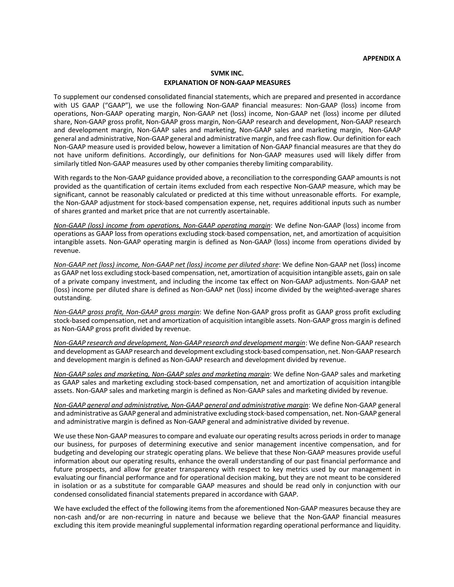#### **SVMK INC. EXPLANATION OF NON-GAAP MEASURES**

To supplement our condensed consolidated financial statements, which are prepared and presented in accordance with US GAAP ("GAAP"), we use the following Non-GAAP financial measures: Non-GAAP (loss) income from operations, Non-GAAP operating margin, Non-GAAP net (loss) income, Non-GAAP net (loss) income per diluted share, Non-GAAP gross profit, Non-GAAP gross margin, Non-GAAP research and development, Non-GAAP research and development margin, Non-GAAP sales and marketing, Non-GAAP sales and marketing margin, Non-GAAP general and administrative, Non-GAAP general and administrative margin, and free cash flow. Our definition for each Non-GAAP measure used is provided below, however a limitation of Non-GAAP financial measures are that they do not have uniform definitions. Accordingly, our definitions for Non-GAAP measures used will likely differ from similarly titled Non-GAAP measures used by other companies thereby limiting comparability.

With regards to the Non-GAAP guidance provided above, a reconciliation to the corresponding GAAP amounts is not provided as the quantification of certain items excluded from each respective Non-GAAP measure, which may be significant, cannot be reasonably calculated or predicted at this time without unreasonable efforts. For example, the Non-GAAP adjustment for stock-based compensation expense, net, requires additional inputs such as number of shares granted and market price that are not currently ascertainable.

*Non-GAAP (loss) income from operations, Non-GAAP operating margin*: We define Non-GAAP (loss) income from operations as GAAP loss from operations excluding stock-based compensation, net, and amortization of acquisition intangible assets. Non-GAAP operating margin is defined as Non-GAAP (loss) income from operations divided by revenue.

*Non-GAAP net (loss) income, Non-GAAP net (loss) income per diluted share*: We define Non-GAAP net (loss) income as GAAP net loss excluding stock-based compensation, net, amortization of acquisition intangible assets, gain on sale of a private company investment, and including the income tax effect on Non-GAAP adjustments. Non-GAAP net (loss) income per diluted share is defined as Non-GAAP net (loss) income divided by the weighted-average shares outstanding.

*Non-GAAP gross profit, Non-GAAP gross margin*: We define Non-GAAP gross profit as GAAP gross profit excluding stock-based compensation, net and amortization of acquisition intangible assets. Non-GAAP gross margin is defined as Non-GAAP gross profit divided by revenue.

*Non-GAAP research and development, Non-GAAP research and development margin*: We define Non-GAAP research and development as GAAP research and development excluding stock-based compensation, net. Non-GAAP research and development margin is defined as Non-GAAP research and development divided by revenue.

*Non-GAAP sales and marketing, Non-GAAP sales and marketing margin*: We define Non-GAAP sales and marketing as GAAP sales and marketing excluding stock-based compensation, net and amortization of acquisition intangible assets. Non-GAAP sales and marketing margin is defined as Non-GAAP sales and marketing divided by revenue.

*Non-GAAP general and administrative, Non-GAAP general and administrative margin*: We define Non-GAAP general and administrative as GAAP general and administrative excluding stock-based compensation, net. Non-GAAP general and administrative margin is defined as Non-GAAP general and administrative divided by revenue.

We use these Non-GAAP measures to compare and evaluate our operating results across periods in order to manage our business, for purposes of determining executive and senior management incentive compensation, and for budgeting and developing our strategic operating plans. We believe that these Non-GAAP measures provide useful information about our operating results, enhance the overall understanding of our past financial performance and future prospects, and allow for greater transparency with respect to key metrics used by our management in evaluating our financial performance and for operational decision making, but they are not meant to be considered in isolation or as a substitute for comparable GAAP measures and should be read only in conjunction with our condensed consolidated financial statements prepared in accordance with GAAP.

We have excluded the effect of the following items from the aforementioned Non-GAAP measures because they are non-cash and/or are non-recurring in nature and because we believe that the Non-GAAP financial measures excluding this item provide meaningful supplemental information regarding operational performance and liquidity.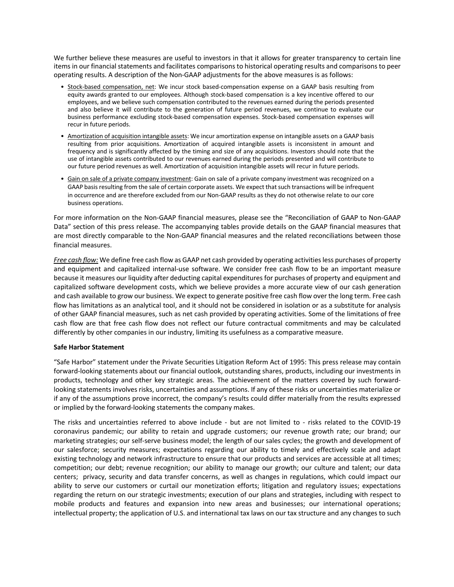We further believe these measures are useful to investors in that it allows for greater transparency to certain line items in our financial statements and facilitates comparisons to historical operating results and comparisons to peer operating results. A description of the Non-GAAP adjustments for the above measures is as follows:

- Stock-based compensation, net: We incur stock based-compensation expense on a GAAP basis resulting from equity awards granted to our employees. Although stock-based compensation is a key incentive offered to our employees, and we believe such compensation contributed to the revenues earned during the periods presented and also believe it will contribute to the generation of future period revenues, we continue to evaluate our business performance excluding stock-based compensation expenses. Stock-based compensation expenses will recur in future periods.
- Amortization of acquisition intangible assets: We incur amortization expense on intangible assets on a GAAP basis resulting from prior acquisitions. Amortization of acquired intangible assets is inconsistent in amount and frequency and is significantly affected by the timing and size of any acquisitions. Investors should note that the use of intangible assets contributed to our revenues earned during the periods presented and will contribute to our future period revenues as well. Amortization of acquisition intangible assets will recur in future periods.
- Gain on sale of a private company investment: Gain on sale of a private company investment was recognized on a GAAP basis resulting from the sale of certain corporate assets. We expect that such transactions will be infrequent in occurrence and are therefore excluded from our Non-GAAP results as they do not otherwise relate to our core business operations.

For more information on the Non-GAAP financial measures, please see the "Reconciliation of GAAP to Non-GAAP Data" section of this press release. The accompanying tables provide details on the GAAP financial measures that are most directly comparable to the Non-GAAP financial measures and the related reconciliations between those financial measures.

*Free cash flow:* We define free cash flow as GAAP net cash provided by operating activities less purchases of property and equipment and capitalized internal-use software. We consider free cash flow to be an important measure because it measures our liquidity after deducting capital expenditures for purchases of property and equipment and capitalized software development costs, which we believe provides a more accurate view of our cash generation and cash available to grow our business. We expect to generate positive free cash flow over the long term. Free cash flow has limitations as an analytical tool, and it should not be considered in isolation or as a substitute for analysis of other GAAP financial measures, such as net cash provided by operating activities. Some of the limitations of free cash flow are that free cash flow does not reflect our future contractual commitments and may be calculated differently by other companies in our industry, limiting its usefulness as a comparative measure.

#### **Safe Harbor Statement**

"Safe Harbor" statement under the Private Securities Litigation Reform Act of 1995: This press release may contain forward-looking statements about our financial outlook, outstanding shares, products, including our investments in products, technology and other key strategic areas. The achievement of the matters covered by such forwardlooking statements involves risks, uncertainties and assumptions. If any of these risks or uncertainties materialize or if any of the assumptions prove incorrect, the company's results could differ materially from the results expressed or implied by the forward-looking statements the company makes.

The risks and uncertainties referred to above include - but are not limited to - risks related to the COVID-19 coronavirus pandemic; our ability to retain and upgrade customers; our revenue growth rate; our brand; our marketing strategies; our self-serve business model; the length of our sales cycles; the growth and development of our salesforce; security measures; expectations regarding our ability to timely and effectively scale and adapt existing technology and network infrastructure to ensure that our products and services are accessible at all times; competition; our debt; revenue recognition; our ability to manage our growth; our culture and talent; our data centers; privacy, security and data transfer concerns, as well as changes in regulations, which could impact our ability to serve our customers or curtail our monetization efforts; litigation and regulatory issues; expectations regarding the return on our strategic investments; execution of our plans and strategies, including with respect to mobile products and features and expansion into new areas and businesses; our international operations; intellectual property; the application of U.S. and international tax laws on our tax structure and any changes to such